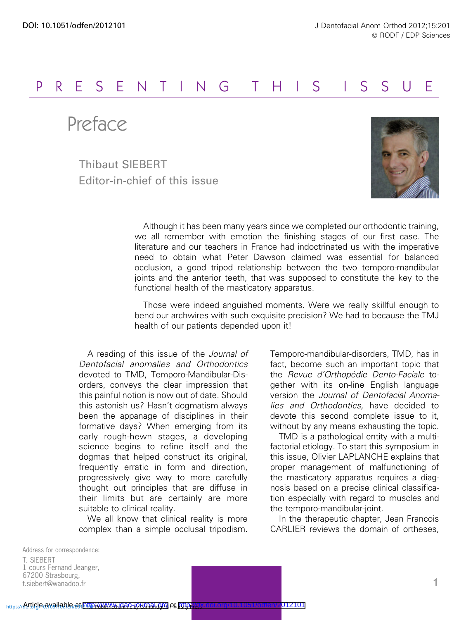## PRESENTING THIS ISSUE

Preface

Thibaut SIEBERT Editor-in-chief of this issue



Although it has been many years since we completed our orthodontic training, we all remember with emotion the finishing stages of our first case. The literature and our teachers in France had indoctrinated us with the imperative need to obtain what Peter Dawson claimed was essential for balanced occlusion, a good tripod relationship between the two temporo-mandibular joints and the anterior teeth, that was supposed to constitute the key to the functional health of the masticatory apparatus.

Those were indeed anguished moments. Were we really skillful enough to bend our archwires with such exquisite precision? We had to because the TMJ health of our patients depended upon it!

A reading of this issue of the Journal of Dentofacial anomalies and Orthodontics devoted to TMD, Temporo-Mandibular-Disorders, conveys the clear impression that this painful notion is now out of date. Should this astonish us? Hasn't dogmatism always been the appanage of disciplines in their formative days? When emerging from its early rough-hewn stages, a developing science begins to refine itself and the dogmas that helped construct its original, frequently erratic in form and direction, progressively give way to more carefully thought out principles that are diffuse in their limits but are certainly are more suitable to clinical reality.

We all know that clinical reality is more complex than a simple occlusal tripodism. Temporo-mandibular-disorders, TMD, has in fact, become such an important topic that the Revue d'Orthopédie Dento-Faciale together with its on-line English language version the Journal of Dentofacial Anomalies and Orthodontics, have decided to devote this second complete issue to it, without by any means exhausting the topic.

TMD is a pathological entity with a multifactorial etiology. To start this symposium in this issue, Olivier LAPLANCHE explains that proper management of malfunctioning of the masticatory apparatus requires a diagnosis based on a precise clinical classification especially with regard to muscles and the temporo-mandibular-joint.

In the therapeutic chapter, Jean Francois CARLIER reviews the domain of ortheses,

Address for correspondence: T. SIEBERT 1 cours Fernand Jeanger, 67200 Strasbourg, t.siebert@wanadoo.fr